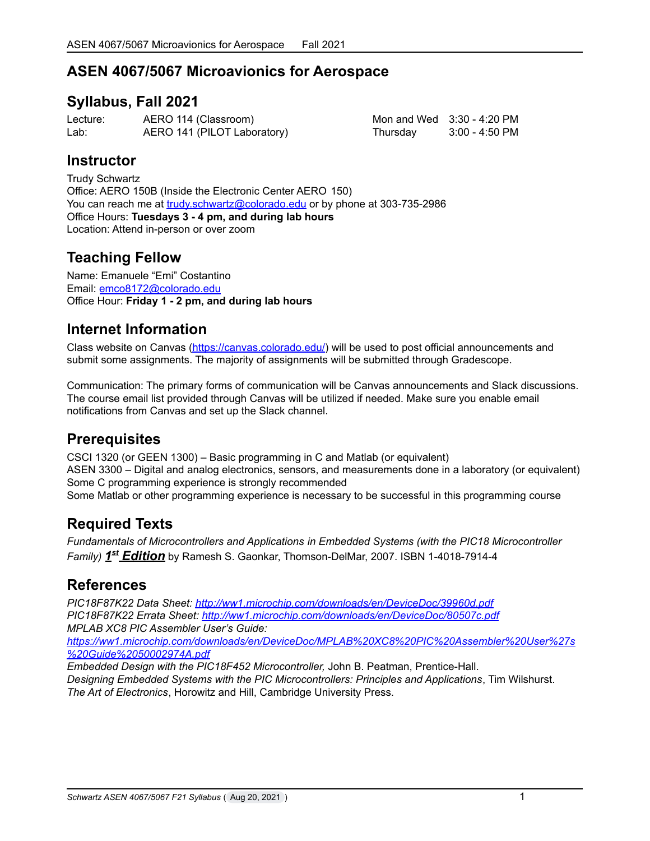# **ASEN 4067/5067 Microavionics for Aerospace**

### **Syllabus, Fall 2021**

Lecture: AERO 114 (Classroom) Mon and Wed 3:30 - 4:20 PM Lab: AERO 141 (PILOT Laboratory) Thursday 3:00 - 4:50 PM

### **Instructor**

Trudy Schwartz Office: AERO 150B (Inside the Electronic Center AERO 150) You can reach me at [trudy.schwartz@colorado.edu](mailto:trudy.schwartz@colorado.edu) or by phone at 303-735-2986 Office Hours: **Tuesdays 3 - 4 pm, and during lab hours** Location: Attend in-person or over zoom

# **Teaching Fellow**

Name: Emanuele "Emi" Costantino Email: [emco8172@colorado.edu](mailto:emco8172@colorado.edu) Office Hour: **Friday 1 - 2 pm, and during lab hours**

### **Internet Information**

Class website on Canvas [\(https://canvas.colorado.edu/](https://canvas.colorado.edu/)) will be used to post official announcements and submit some assignments. The majority of assignments will be submitted through Gradescope.

Communication: The primary forms of communication will be Canvas announcements and Slack discussions. The course email list provided through Canvas will be utilized if needed. Make sure you enable email notifications from Canvas and set up the Slack channel.

## **Prerequisites**

CSCI 1320 (or GEEN 1300) – Basic programming in C and Matlab (or equivalent) ASEN 3300 – Digital and analog electronics, sensors, and measurements done in a laboratory (or equivalent) Some C programming experience is strongly recommended Some Matlab or other programming experience is necessary to be successful in this programming course

## **Required Texts**

*Fundamentals of Microcontrollers and Applications in Embedded Systems (with the PIC18 Microcontroller Family) 1 st Edition* by Ramesh S. Gaonkar, Thomson-DelMar, 2007. ISBN 1-4018-7914-4

## **References**

*PIC18F87K22 Data Sheet: <http://ww1.microchip.com/downloads/en/DeviceDoc/39960d.pdf> PIC18F87K22 Errata Sheet: <http://ww1.microchip.com/downloads/en/DeviceDoc/80507c.pdf> MPLAB XC8 PIC Assembler User's Guide: [https://ww1.microchip.com/downloads/en/DeviceDoc/MPLAB%20XC8%20PIC%20Assembler%20User%27s](https://ww1.microchip.com/downloads/en/DeviceDoc/MPLAB%20XC8%20PIC%20Assembler%20User%27s%20Guide%2050002974A.pdf)*

*[%20Guide%2050002974A.pdf](https://ww1.microchip.com/downloads/en/DeviceDoc/MPLAB%20XC8%20PIC%20Assembler%20User%27s%20Guide%2050002974A.pdf)*

*Embedded Design with the PIC18F452 Microcontroller,* John B. Peatman, Prentice-Hall. *Designing Embedded Systems with the PIC Microcontrollers: Principles and Applications*, Tim Wilshurst. *The Art of Electronics*, Horowitz and Hill, Cambridge University Press.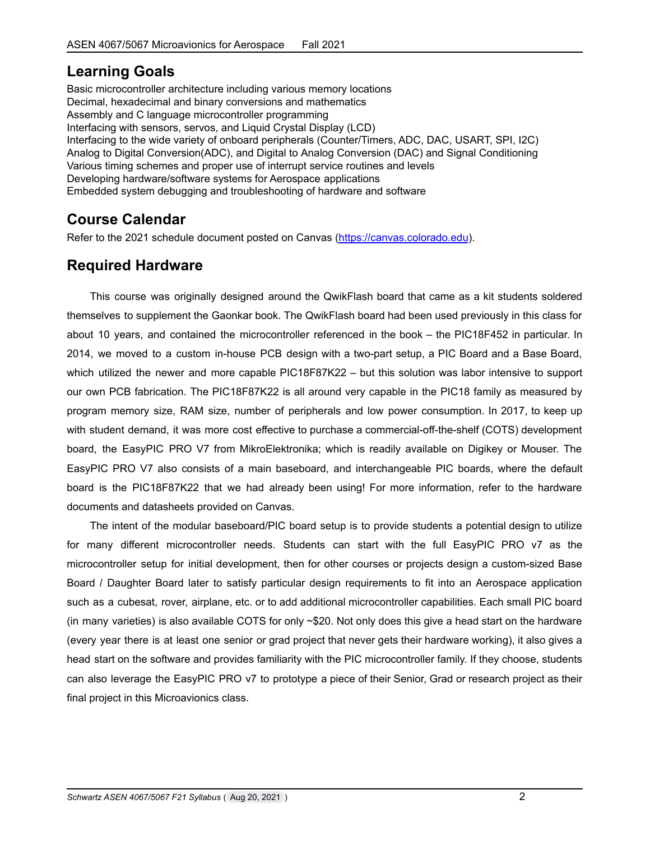# **Learning Goals**

Basic microcontroller architecture including various memory locations Decimal, hexadecimal and binary conversions and mathematics Assembly and C language microcontroller programming Interfacing with sensors, servos, and Liquid Crystal Display (LCD) Interfacing to the wide variety of onboard peripherals (Counter/Timers, ADC, DAC, USART, SPI, I2C) Analog to Digital Conversion(ADC), and Digital to Analog Conversion (DAC) and Signal Conditioning Various timing schemes and proper use of interrupt service routines and levels Developing hardware/software systems for Aerospace applications Embedded system debugging and troubleshooting of hardware and software

# **Course Calendar**

Refer to the 2021 schedule document posted on Canvas [\(https://canvas.colorado.edu](https://canvas.colorado.edu)).

# **Required Hardware**

This course was originally designed around the QwikFlash board that came as a kit students soldered themselves to supplement the Gaonkar book. The QwikFlash board had been used previously in this class for about 10 years, and contained the microcontroller referenced in the book – the PIC18F452 in particular. In 2014, we moved to a custom in-house PCB design with a two-part setup, a PIC Board and a Base Board, which utilized the newer and more capable PIC18F87K22 – but this solution was labor intensive to support our own PCB fabrication. The PIC18F87K22 is all around very capable in the PIC18 family as measured by program memory size, RAM size, number of peripherals and low power consumption. In 2017, to keep up with student demand, it was more cost effective to purchase a commercial-off-the-shelf (COTS) development board, the EasyPIC PRO V7 from MikroElektronika; which is readily available on Digikey or Mouser. The EasyPIC PRO V7 also consists of a main baseboard, and interchangeable PIC boards, where the default board is the PIC18F87K22 that we had already been using! For more information, refer to the hardware documents and datasheets provided on Canvas.

The intent of the modular baseboard/PIC board setup is to provide students a potential design to utilize for many different microcontroller needs. Students can start with the full EasyPIC PRO v7 as the microcontroller setup for initial development, then for other courses or projects design a custom-sized Base Board / Daughter Board later to satisfy particular design requirements to fit into an Aerospace application such as a cubesat, rover, airplane, etc. or to add additional microcontroller capabilities. Each small PIC board (in many varieties) is also available COTS for only ~\$20. Not only does this give a head start on the hardware (every year there is at least one senior or grad project that never gets their hardware working), it also gives a head start on the software and provides familiarity with the PIC microcontroller family. If they choose, students can also leverage the EasyPIC PRO v7 to prototype a piece of their Senior, Grad or research project as their final project in this Microavionics class.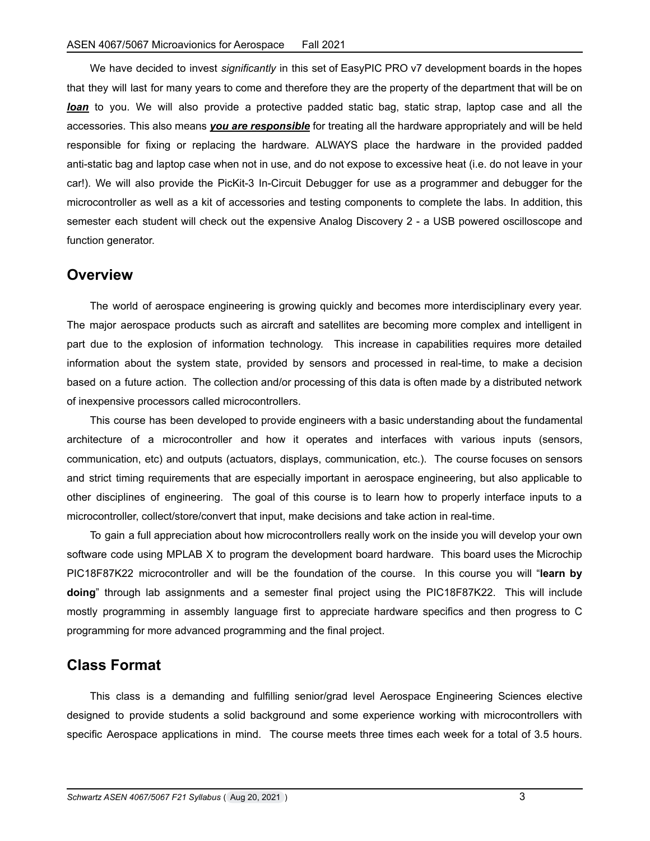We have decided to invest *significantly* in this set of EasyPIC PRO v7 development boards in the hopes that they will last for many years to come and therefore they are the property of the department that will be on *loan* to you. We will also provide a protective padded static bag, static strap, laptop case and all the accessories. This also means *you are responsible* for treating all the hardware appropriately and will be held responsible for fixing or replacing the hardware. ALWAYS place the hardware in the provided padded anti-static bag and laptop case when not in use, and do not expose to excessive heat (i.e. do not leave in your car!). We will also provide the PicKit-3 In-Circuit Debugger for use as a programmer and debugger for the microcontroller as well as a kit of accessories and testing components to complete the labs. In addition, this semester each student will check out the expensive Analog Discovery 2 - a USB powered oscilloscope and function generator.

#### **Overview**

The world of aerospace engineering is growing quickly and becomes more interdisciplinary every year. The major aerospace products such as aircraft and satellites are becoming more complex and intelligent in part due to the explosion of information technology. This increase in capabilities requires more detailed information about the system state, provided by sensors and processed in real-time, to make a decision based on a future action. The collection and/or processing of this data is often made by a distributed network of inexpensive processors called microcontrollers.

This course has been developed to provide engineers with a basic understanding about the fundamental architecture of a microcontroller and how it operates and interfaces with various inputs (sensors, communication, etc) and outputs (actuators, displays, communication, etc.). The course focuses on sensors and strict timing requirements that are especially important in aerospace engineering, but also applicable to other disciplines of engineering. The goal of this course is to learn how to properly interface inputs to a microcontroller, collect/store/convert that input, make decisions and take action in real-time.

To gain a full appreciation about how microcontrollers really work on the inside you will develop your own software code using MPLAB X to program the development board hardware. This board uses the Microchip PIC18F87K22 microcontroller and will be the foundation of the course. In this course you will "**learn by doing**" through lab assignments and a semester final project using the PIC18F87K22. This will include mostly programming in assembly language first to appreciate hardware specifics and then progress to C programming for more advanced programming and the final project.

#### **Class Format**

This class is a demanding and fulfilling senior/grad level Aerospace Engineering Sciences elective designed to provide students a solid background and some experience working with microcontrollers with specific Aerospace applications in mind. The course meets three times each week for a total of 3.5 hours.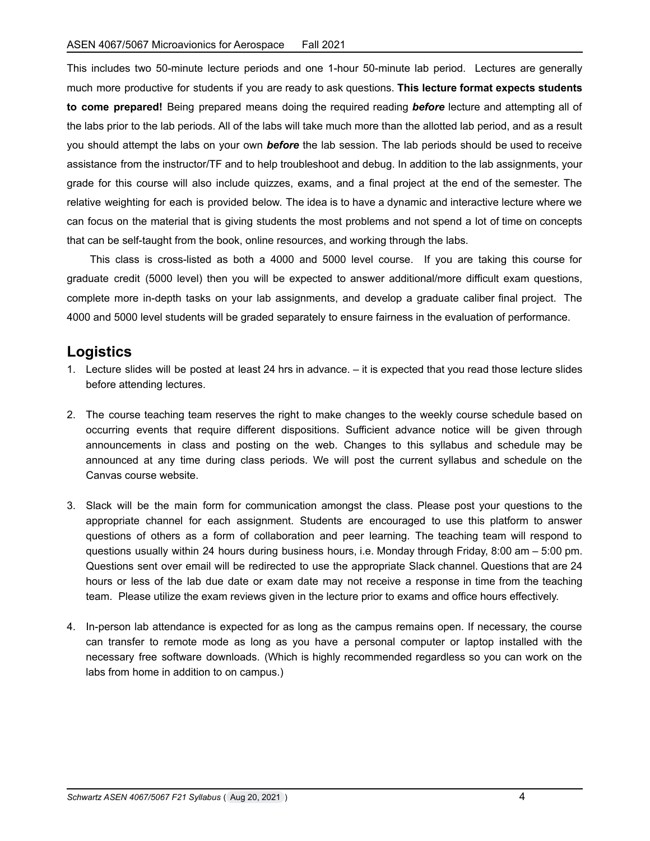This includes two 50-minute lecture periods and one 1-hour 50-minute lab period. Lectures are generally much more productive for students if you are ready to ask questions. **This lecture format expects students to come prepared!** Being prepared means doing the required reading *before* lecture and attempting all of the labs prior to the lab periods. All of the labs will take much more than the allotted lab period, and as a result you should attempt the labs on your own *before* the lab session. The lab periods should be used to receive assistance from the instructor/TF and to help troubleshoot and debug. In addition to the lab assignments, your grade for this course will also include quizzes, exams, and a final project at the end of the semester. The relative weighting for each is provided below. The idea is to have a dynamic and interactive lecture where we can focus on the material that is giving students the most problems and not spend a lot of time on concepts that can be self-taught from the book, online resources, and working through the labs.

This class is cross-listed as both a 4000 and 5000 level course. If you are taking this course for graduate credit (5000 level) then you will be expected to answer additional/more difficult exam questions, complete more in-depth tasks on your lab assignments, and develop a graduate caliber final project. The 4000 and 5000 level students will be graded separately to ensure fairness in the evaluation of performance.

#### **Logistics**

- 1. Lecture slides will be posted at least 24 hrs in advance. it is expected that you read those lecture slides before attending lectures.
- 2. The course teaching team reserves the right to make changes to the weekly course schedule based on occurring events that require different dispositions. Sufficient advance notice will be given through announcements in class and posting on the web. Changes to this syllabus and schedule may be announced at any time during class periods. We will post the current syllabus and schedule on the Canvas course website.
- 3. Slack will be the main form for communication amongst the class. Please post your questions to the appropriate channel for each assignment. Students are encouraged to use this platform to answer questions of others as a form of collaboration and peer learning. The teaching team will respond to questions usually within 24 hours during business hours, i.e. Monday through Friday, 8:00 am – 5:00 pm. Questions sent over email will be redirected to use the appropriate Slack channel. Questions that are 24 hours or less of the lab due date or exam date may not receive a response in time from the teaching team. Please utilize the exam reviews given in the lecture prior to exams and office hours effectively.
- 4. In-person lab attendance is expected for as long as the campus remains open. If necessary, the course can transfer to remote mode as long as you have a personal computer or laptop installed with the necessary free software downloads. (Which is highly recommended regardless so you can work on the labs from home in addition to on campus.)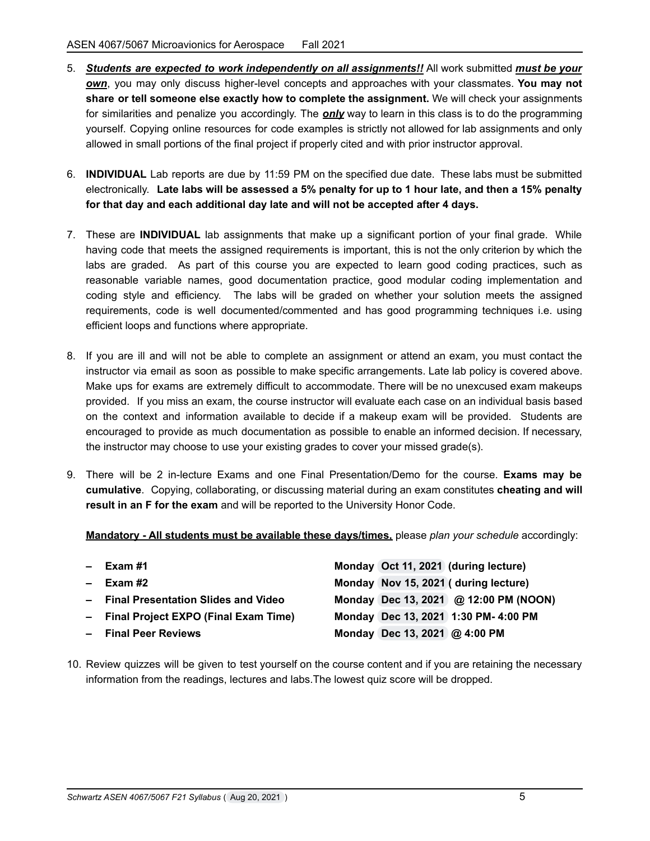- 5. *Students are expected to work independently on all assignments!!* All work submitted *must be your own*, you may only discuss higher-level concepts and approaches with your classmates. **You may not share or tell someone else exactly how to complete the assignment.** We will check your assignments for similarities and penalize you accordingly. The *only* way to learn in this class is to do the programming yourself. Copying online resources for code examples is strictly not allowed for lab assignments and only allowed in small portions of the final project if properly cited and with prior instructor approval.
- 6. **INDIVIDUAL** Lab reports are due by 11:59 PM on the specified due date. These labs must be submitted electronically. Late labs will be assessed a 5% penalty for up to 1 hour late, and then a 15% penalty **for that day and each additional day late and will not be accepted after 4 days.**
- 7. These are **INDIVIDUAL** lab assignments that make up a significant portion of your final grade. While having code that meets the assigned requirements is important, this is not the only criterion by which the labs are graded. As part of this course you are expected to learn good coding practices, such as reasonable variable names, good documentation practice, good modular coding implementation and coding style and efficiency. The labs will be graded on whether your solution meets the assigned requirements, code is well documented/commented and has good programming techniques i.e. using efficient loops and functions where appropriate.
- 8. If you are ill and will not be able to complete an assignment or attend an exam, you must contact the instructor via email as soon as possible to make specific arrangements. Late lab policy is covered above. Make ups for exams are extremely difficult to accommodate. There will be no unexcused exam makeups provided. If you miss an exam, the course instructor will evaluate each case on an individual basis based on the context and information available to decide if a makeup exam will be provided. Students are encouraged to provide as much documentation as possible to enable an informed decision. If necessary, the instructor may choose to use your existing grades to cover your missed grade(s).
- 9. There will be 2 in-lecture Exams and one Final Presentation/Demo for the course. **Exams may be cumulative**. Copying, collaborating, or discussing material during an exam constitutes **cheating and will result in an F for the exam** and will be reported to the University Honor Code.

**Mandatory - All students must be available these days/times,** please *plan your schedule* accordingly:

| - Exam #1                              |                               | Monday Oct 11, 2021 (during lecture)  |
|----------------------------------------|-------------------------------|---------------------------------------|
| - Exam #2                              |                               | Monday Nov 15, 2021 (during lecture)  |
| - Final Presentation Slides and Video  |                               | Monday Dec 13, 2021 @ 12:00 PM (NOON) |
| - Final Project EXPO (Final Exam Time) |                               | Monday Dec 13, 2021 1:30 PM- 4:00 PM  |
| - Final Peer Reviews                   | Monday Dec 13, 2021 @ 4:00 PM |                                       |
|                                        |                               |                                       |

10. Review quizzes will be given to test yourself on the course content and if you are retaining the necessary information from the readings, lectures and labs.The lowest quiz score will be dropped.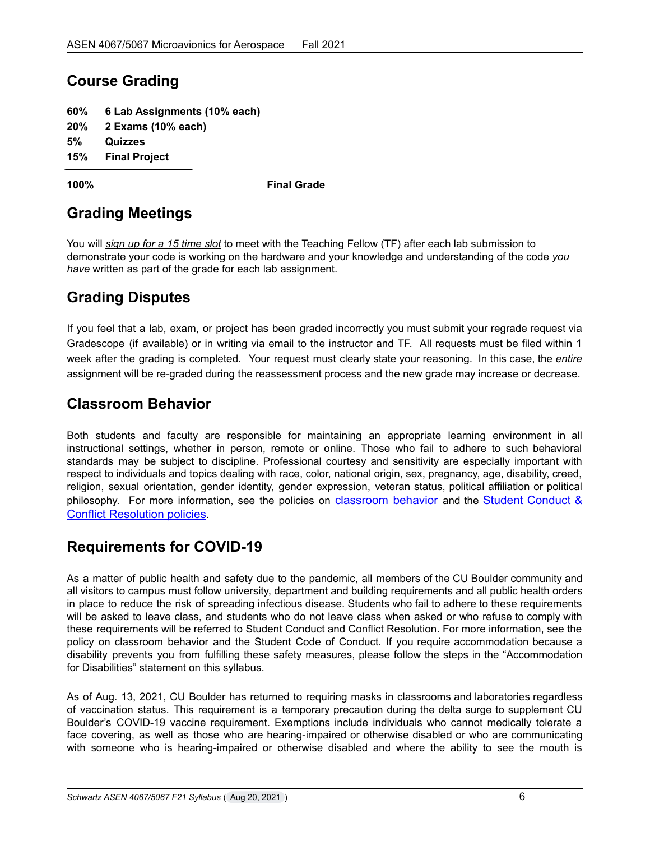# **Course Grading**

| 60%     | 6 Lab Assignments (10% each) |
|---------|------------------------------|
|         | 20% 2 Exams (10% each)       |
| 5%      | Quizzes                      |
| $1 - 0$ | ------                       |

**15% Final Project**

**100% Final Grade**

# **Grading Meetings**

You will *sign up for a 15 time slot* to meet with the Teaching Fellow (TF) after each lab submission to demonstrate your code is working on the hardware and your knowledge and understanding of the code *you have* written as part of the grade for each lab assignment.

## **Grading Disputes**

If you feel that a lab, exam, or project has been graded incorrectly you must submit your regrade request via Gradescope (if available) or in writing via email to the instructor and TF. All requests must be filed within 1 week after the grading is completed. Your request must clearly state your reasoning. In this case, the *entire* assignment will be re-graded during the reassessment process and the new grade may increase or decrease.

### **Classroom Behavior**

Both students and faculty are responsible for maintaining an appropriate learning environment in all instructional settings, whether in person, remote or online. Those who fail to adhere to such behavioral standards may be subject to discipline. Professional courtesy and sensitivity are especially important with respect to individuals and topics dealing with race, color, national origin, sex, pregnancy, age, disability, creed, religion, sexual orientation, gender identity, gender expression, veteran status, political affiliation or political philosophy. For more information, see the policies on [classroom](http://www.colorado.edu/policies/student-classroom-and-course-related-behavior) behavior and the Student [Conduct](https://www.colorado.edu/sccr/student-conduct) & Conflict [Resolution](https://www.colorado.edu/sccr/student-conduct) policies.

## **Requirements for COVID-19**

As a matter of public health and safety due to the pandemic, all members of the CU Boulder community and all visitors to campus must follow university, department and building requirements and all public health orders in place to reduce the risk of spreading infectious disease. Students who fail to adhere to these requirements will be asked to leave class, and students who do not leave class when asked or who refuse to comply with these requirements will be referred to Student Conduct and Conflict Resolution. For more information, see the policy on classroom behavior and the Student Code of Conduct. If you require accommodation because a disability prevents you from fulfilling these safety measures, please follow the steps in the "Accommodation for Disabilities" statement on this syllabus.

As of Aug. 13, 2021, CU Boulder has returned to requiring masks in classrooms and laboratories regardless of vaccination status. This requirement is a temporary precaution during the delta surge to supplement CU Boulder's COVID-19 vaccine requirement. Exemptions include individuals who cannot medically tolerate a face covering, as well as those who are hearing-impaired or otherwise disabled or who are communicating with someone who is hearing-impaired or otherwise disabled and where the ability to see the mouth is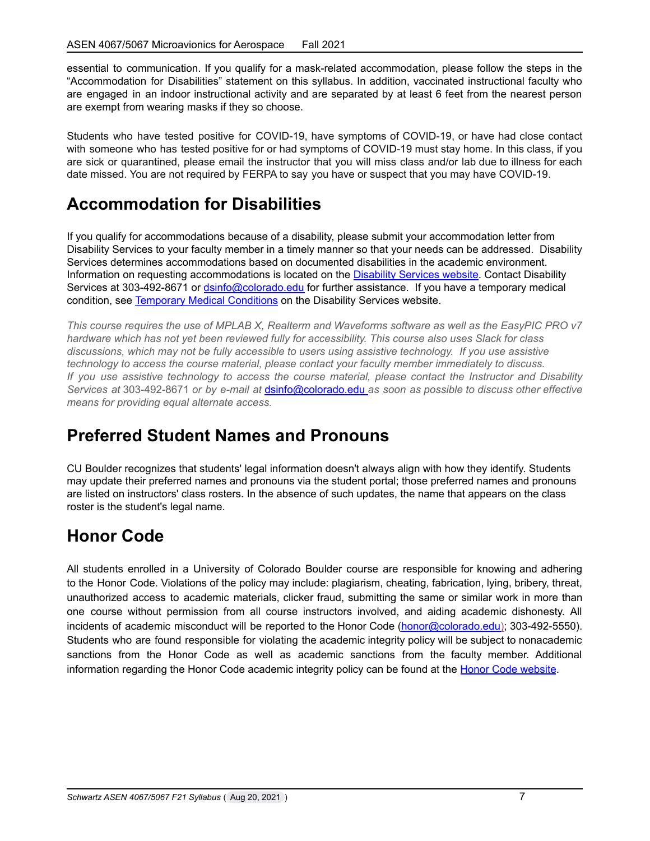essential to communication. If you qualify for a mask-related accommodation, please follow the steps in the "Accommodation for Disabilities" statement on this syllabus. In addition, vaccinated instructional faculty who are engaged in an indoor instructional activity and are separated by at least 6 feet from the nearest person are exempt from wearing masks if they so choose.

Students who have tested positive for COVID-19, have symptoms of COVID-19, or have had close contact with someone who has tested positive for or had symptoms of COVID-19 must stay home. In this class, if you are sick or quarantined, please email the instructor that you will miss class and/or lab due to illness for each date missed. You are not required by FERPA to say you have or suspect that you may have COVID-19.

# **Accommodation for Disabilities**

If you qualify for accommodations because of a disability, please submit your accommodation letter from Disability Services to your faculty member in a timely manner so that your needs can be addressed. Disability Services determines accommodations based on documented disabilities in the academic environment. Information on requesting accommodations is located on the **[Disability](https://www.colorado.edu/disabilityservices/) Services website**. Contact Disability Services at 303-492-8671 or [dsinfo@colorado.edu](mailto:dsinfo@colorado.edu) for further assistance. If you have a temporary medical condition, see Temporary Medical [Conditions](http://www.colorado.edu/disabilityservices/students/temporary-medical-conditions) on the Disability Services website.

This course requires the use of MPLAB X, Realterm and Waveforms software as well as the EasyPIC PRO v7 *hardware which has not yet been reviewed fully for accessibility. This course also uses Slack for class discussions, which may not be fully accessible to users using assistive technology. If you use assistive technology to access the course material, please contact your faculty member immediately to discuss. If you use assistive technology to access the course material, please contact the Instructor and Disability Services at* 303-492-8671 *or by e-mail at* [dsinfo@colorado.edu](mailto:dsinfo@colorado.edu?subject=) *as soon as possible to discuss other effective means for providing equal alternate access.*

# **Preferred Student Names and Pronouns**

CU Boulder recognizes that students' legal information doesn't always align with how they identify. Students may update their preferred names and pronouns via the student portal; those preferred names and pronouns are listed on instructors' class rosters. In the absence of such updates, the name that appears on the class roster is the student's legal name.

# **Honor Code**

All students enrolled in a University of Colorado Boulder course are responsible for knowing and adhering to the Honor Code. Violations of the policy may include: plagiarism, cheating, fabrication, lying, bribery, threat, unauthorized access to academic materials, clicker fraud, submitting the same or similar work in more than one course without permission from all course instructors involved, and aiding academic dishonesty. All incidents of academic misconduct will be reported to the Honor Code [\(honor@colorado.edu\)](mailto:honor@colorado.edu); 303-492-5550). Students who are found responsible for violating the academic integrity policy will be subject to nonacademic sanctions from the Honor Code as well as academic sanctions from the faculty member. Additional information regarding the Honor Code academic integrity policy can be found at the Honor Code [website](https://www.colorado.edu/osccr/honor-code).